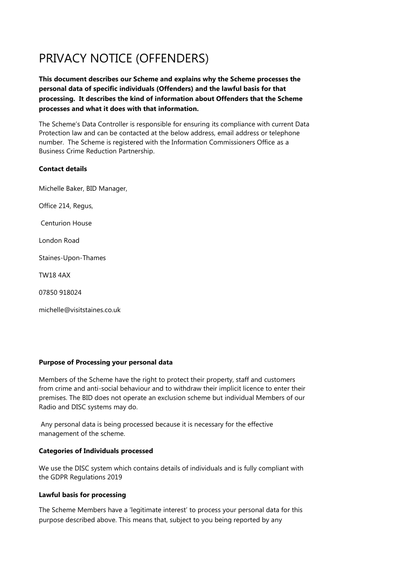# PRIVACY NOTICE (OFFENDERS)

**This document describes our Scheme and explains why the Scheme processes the personal data of specific individuals (Offenders) and the lawful basis for that processing. It describes the kind of information about Offenders that the Scheme processes and what it does with that information.** 

The Scheme's Data Controller is responsible for ensuring its compliance with current Data Protection law and can be contacted at the below address, email address or telephone number. The Scheme is registered with the Information Commissioners Office as a Business Crime Reduction Partnership.

## **Contact details**

Michelle Baker, BID Manager,

Office 214, Regus,

Centurion House

London Road

Staines-Upon-Thames

TW18 4AX

07850 918024

michelle@visitstaines.co.uk

## **Purpose of Processing your personal data**

Members of the Scheme have the right to protect their property, staff and customers from crime and anti-social behaviour and to withdraw their implicit licence to enter their premises. The BID does not operate an exclusion scheme but individual Members of our Radio and DISC systems may do.

Any personal data is being processed because it is necessary for the effective management of the scheme.

## **Categories of Individuals processed**

We use the DISC system which contains details of individuals and is fully compliant with the GDPR Regulations 2019

## **Lawful basis for processing**

The Scheme Members have a 'legitimate interest' to process your personal data for this purpose described above. This means that, subject to you being reported by any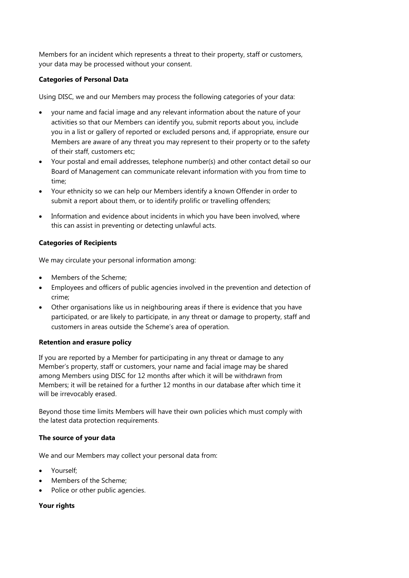Members for an incident which represents a threat to their property, staff or customers, your data may be processed without your consent.

## **Categories of Personal Data**

Using DISC, we and our Members may process the following categories of your data:

- your name and facial image and any relevant information about the nature of your activities so that our Members can identify you, submit reports about you, include you in a list or gallery of reported or excluded persons and, if appropriate, ensure our Members are aware of any threat you may represent to their property or to the safety of their staff, customers etc;
- Your postal and email addresses, telephone number(s) and other contact detail so our Board of Management can communicate relevant information with you from time to time;
- Your ethnicity so we can help our Members identify a known Offender in order to submit a report about them, or to identify prolific or travelling offenders;
- Information and evidence about incidents in which you have been involved, where this can assist in preventing or detecting unlawful acts.

## **Categories of Recipients**

We may circulate your personal information among:

- Members of the Scheme:
- Employees and officers of public agencies involved in the prevention and detection of crime;
- Other organisations like us in neighbouring areas if there is evidence that you have participated, or are likely to participate, in any threat or damage to property, staff and customers in areas outside the Scheme's area of operation.

## **Retention and erasure policy**

If you are reported by a Member for participating in any threat or damage to any Member's property, staff or customers, your name and facial image may be shared among Members using DISC for 12 months after which it will be withdrawn from Members; it will be retained for a further 12 months in our database after which time it will be irrevocably erased.

Beyond those time limits Members will have their own policies which must comply with the latest data protection requirements.

## **The source of your data**

We and our Members may collect your personal data from:

- Yourself;
- Members of the Scheme:
- Police or other public agencies.

## **Your rights**